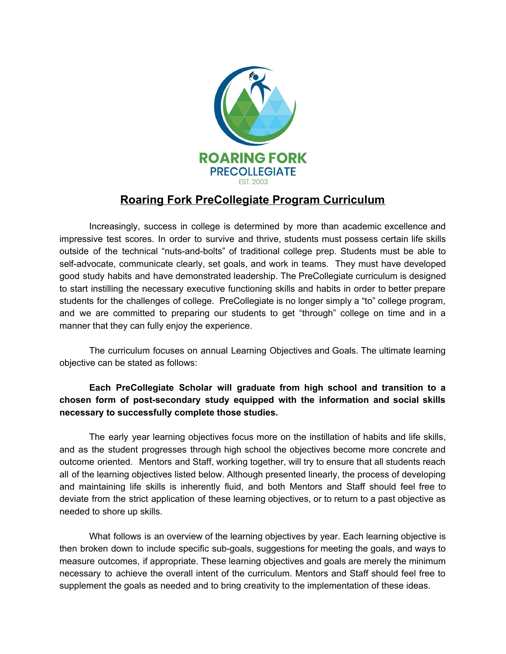

## **Roaring Fork PreCollegiate Program Curriculum**

Increasingly, success in college is determined by more than academic excellence and impressive test scores. In order to survive and thrive, students must possess certain life skills outside of the technical "nuts-and-bolts" of traditional college prep. Students must be able to self-advocate, communicate clearly, set goals, and work in teams. They must have developed good study habits and have demonstrated leadership. The PreCollegiate curriculum is designed to start instilling the necessary executive functioning skills and habits in order to better prepare students for the challenges of college. PreCollegiate is no longer simply a "to" college program, and we are committed to preparing our students to get "through" college on time and in a manner that they can fully enjoy the experience.

The curriculum focuses on annual Learning Objectives and Goals. The ultimate learning objective can be stated as follows:

#### **Each PreCollegiate Scholar will graduate from high school and transition to a chosen form of post-secondary study equipped with the information and social skills necessary to successfully complete those studies.**

The early year learning objectives focus more on the instillation of habits and life skills, and as the student progresses through high school the objectives become more concrete and outcome oriented. Mentors and Staff, working together, will try to ensure that all students reach all of the learning objectives listed below. Although presented linearly, the process of developing and maintaining life skills is inherently fluid, and both Mentors and Staff should feel free to deviate from the strict application of these learning objectives, or to return to a past objective as needed to shore up skills.

What follows is an overview of the learning objectives by year. Each learning objective is then broken down to include specific sub-goals, suggestions for meeting the goals, and ways to measure outcomes, if appropriate. These learning objectives and goals are merely the minimum necessary to achieve the overall intent of the curriculum. Mentors and Staff should feel free to supplement the goals as needed and to bring creativity to the implementation of these ideas.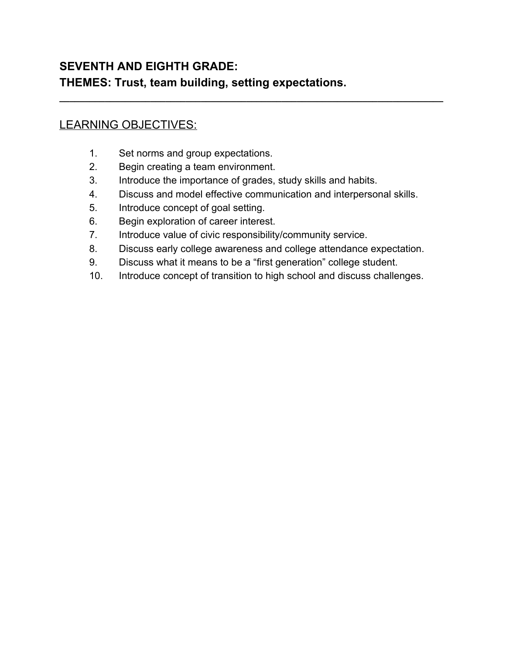## **SEVENTH AND EIGHTH GRADE: THEMES: Trust, team building, setting expectations.**

## LEARNING OBJECTIVES:

- 1. Set norms and group expectations.
- 2. Begin creating a team environment.
- 3. Introduce the importance of grades, study skills and habits.
- 4. Discuss and model effective communication and interpersonal skills.

**\_\_\_\_\_\_\_\_\_\_\_\_\_\_\_\_\_\_\_\_\_\_\_\_\_\_\_\_\_\_\_\_\_\_\_\_\_\_\_\_\_\_\_\_\_\_\_\_\_\_\_\_\_\_\_\_\_\_\_\_\_\_\_\_\_\_\_\_\_\_\_\_\_\_\_\_**

- 5. Introduce concept of goal setting.
- 6. Begin exploration of career interest.
- 7. Introduce value of civic responsibility/community service.
- 8. Discuss early college awareness and college attendance expectation.
- 9. Discuss what it means to be a "first generation" college student.
- 10. Introduce concept of transition to high school and discuss challenges.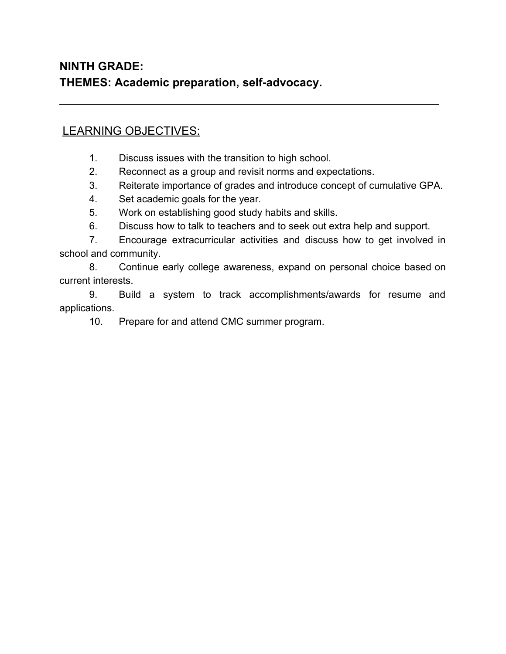## LEARNING OBJECTIVES:

- 1. Discuss issues with the transition to high school.
- 2. Reconnect as a group and revisit norms and expectations.

 $\overline{\phantom{a}}$  , and the contribution of the contribution of the contribution of the contribution of the contribution of the contribution of the contribution of the contribution of the contribution of the contribution of the

- 3. Reiterate importance of grades and introduce concept of cumulative GPA.
- 4. Set academic goals for the year.
- 5. Work on establishing good study habits and skills.
- 6. Discuss how to talk to teachers and to seek out extra help and support.

7. Encourage extracurricular activities and discuss how to get involved in school and community.

8. Continue early college awareness, expand on personal choice based on current interests.

9. Build a system to track accomplishments/awards for resume and applications.

10. Prepare for and attend CMC summer program.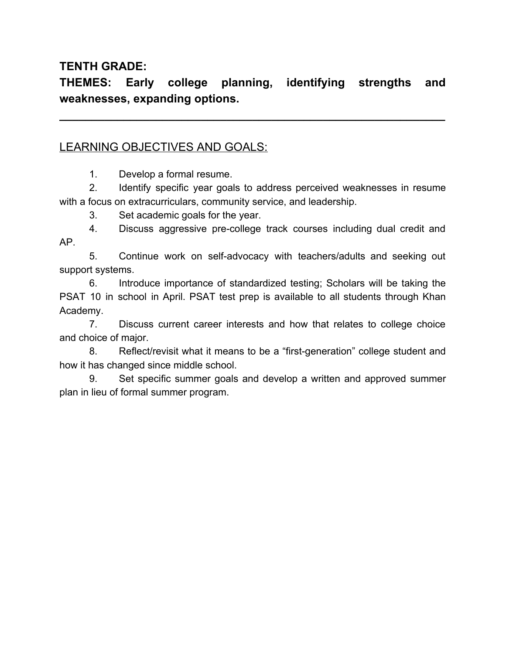### **TENTH GRADE:**

**THEMES: Early college planning, identifying strengths and weaknesses, expanding options.**

**\_\_\_\_\_\_\_\_\_\_\_\_\_\_\_\_\_\_\_\_\_\_\_\_\_\_\_\_\_\_\_\_\_\_\_\_\_\_\_\_\_\_\_\_\_\_\_\_\_\_\_\_\_\_\_\_\_\_\_\_**

### LEARNING OBJECTIVES AND GOALS:

1. Develop a formal resume.

2. Identify specific year goals to address perceived weaknesses in resume with a focus on extracurriculars, community service, and leadership.

3. Set academic goals for the year.

4. Discuss aggressive pre-college track courses including dual credit and AP.

5. Continue work on self-advocacy with teachers/adults and seeking out support systems.

6. Introduce importance of standardized testing; Scholars will be taking the PSAT 10 in school in April. PSAT test prep is available to all students through Khan Academy.

7. Discuss current career interests and how that relates to college choice and choice of major.

8. Reflect/revisit what it means to be a "first-generation" college student and how it has changed since middle school.

9. Set specific summer goals and develop a written and approved summer plan in lieu of formal summer program.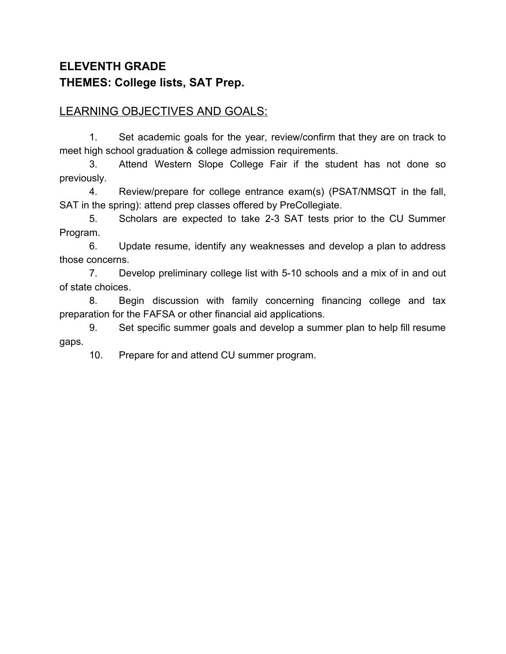# **ELEVENTH GRADE THEMES: College lists, SAT Prep.**

### LEARNING OBJECTIVES AND GOALS:

1. Set academic goals for the year, review/confirm that they are on track to meet high school graduation & college admission requirements.

3. Attend Western Slope College Fair if the student has not done so previously.

4. Review/prepare for college entrance exam(s) (PSAT/NMSQT in the fall, SAT in the spring): attend prep classes offered by PreCollegiate.

5. Scholars are expected to take 2-3 SAT tests prior to the CU Summer Program.

6. Update resume, identify any weaknesses and develop a plan to address those concerns.

7. Develop preliminary college list with 5-10 schools and a mix of in and out of state choices.

8. Begin discussion with family concerning financing college and tax preparation for the FAFSA or other financial aid applications.

9. Set specific summer goals and develop a summer plan to help fill resume gaps.

10. Prepare for and attend CU summer program.